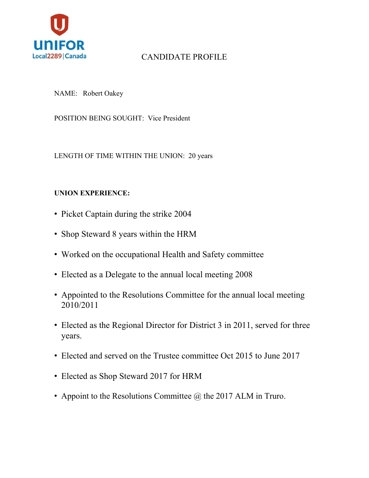

# CANDIDATE PROFILE

NAME: Robert Oakey

POSITION BEING SOUGHT: Vice President

LENGTH OF TIME WITHIN THE UNION: 20 years

### **UNION EXPERIENCE:**

- Picket Captain during the strike 2004
- Shop Steward 8 years within the HRM
- Worked on the occupational Health and Safety committee
- Elected as a Delegate to the annual local meeting 2008
- Appointed to the Resolutions Committee for the annual local meeting 2010/2011
- Elected as the Regional Director for District 3 in 2011, served for three years.
- Elected and served on the Trustee committee Oct 2015 to June 2017
- Elected as Shop Steward 2017 for HRM
- Appoint to the Resolutions Committee  $\omega$  the 2017 ALM in Truro.